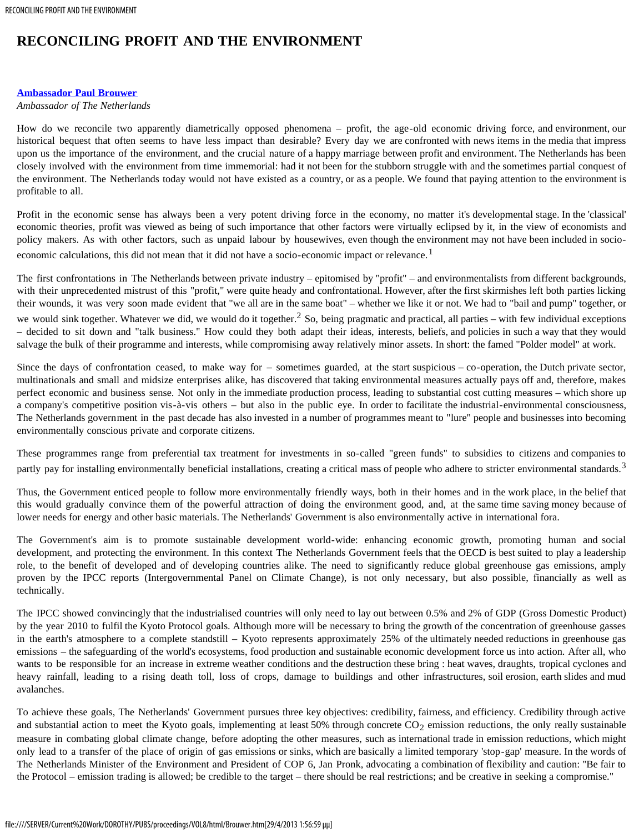## **RECONCILING PROFIT AND THE ENVIRONMENT**

## **[Ambassador Paul Brouwer](#page-2-0)**

## *Ambassador of The Netherlands*

How do we reconcile two apparently diametrically opposed phenomena – profit, the age-old economic driving force, and environment, our historical bequest that often seems to have less impact than desirable? Every day we are confronted with news items in the media that impress upon us the importance of the environment, and the crucial nature of a happy marriage between profit and environment. The Netherlands has been closely involved with the environment from time immemorial: had it not been for the stubborn struggle with and the sometimes partial conquest of the environment. The Netherlands today would not have existed as a country, or as a people. We found that paying attention to the environment is profitable to all.

Profit in the economic sense has always been a very potent driving force in the economy, no matter it's developmental stage. In the 'classical' economic theories, profit was viewed as being of such importance that other factors were virtually eclipsed by it, in the view of economists and policy makers. As with other factors, such as unpaid labour by housewives, even though the environment may not have been included in socioeconomic calculations, this did not mean that it did not have a socio-economic impact or relevance.<sup>1</sup>

The first confrontations in The Netherlands between private industry – epitomised by "profit" – and environmentalists from different backgrounds, with their unprecedented mistrust of this "profit," were quite heady and confrontational. However, after the first skirmishes left both parties licking their wounds, it was very soon made evident that "we all are in the same boat" – whether we like it or not. We had to "bail and pump" together, or we would sink together. Whatever we did, we would do it together.<sup>2</sup> So, being pragmatic and practical, all parties – with few individual exceptions – decided to sit down and "talk business." How could they both adapt their ideas, interests, beliefs, and policies in such a way that they would salvage the bulk of their programme and interests, while compromising away relatively minor assets. In short: the famed "Polder model" at work.

Since the days of confrontation ceased, to make way for – sometimes guarded, at the start suspicious – co-operation, the Dutch private sector, multinationals and small and midsize enterprises alike, has discovered that taking environmental measures actually pays off and, therefore, makes perfect economic and business sense. Not only in the immediate production process, leading to substantial cost cutting measures – which shore up a company's competitive position vis-à-vis others – but also in the public eye. In order to facilitate the industrial-environmental consciousness, The Netherlands government in the past decade has also invested in a number of programmes meant to "lure" people and businesses into becoming environmentally conscious private and corporate citizens.

These programmes range from preferential tax treatment for investments in so-called "green funds" to subsidies to citizens and companies to partly pay for installing environmentally beneficial installations, creating a critical mass of people who adhere to stricter environmental standards.<sup>3</sup>

Thus, the Government enticed people to follow more environmentally friendly ways, both in their homes and in the work place, in the belief that this would gradually convince them of the powerful attraction of doing the environment good, and, at the same time saving money because of lower needs for energy and other basic materials. The Netherlands' Government is also environmentally active in international fora.

The Government's aim is to promote sustainable development world-wide: enhancing economic growth, promoting human and social development, and protecting the environment. In this context The Netherlands Government feels that the OECD is best suited to play a leadership role, to the benefit of developed and of developing countries alike. The need to significantly reduce global greenhouse gas emissions, amply proven by the IPCC reports (Intergovernmental Panel on Climate Change), is not only necessary, but also possible, financially as well as technically.

The IPCC showed convincingly that the industrialised countries will only need to lay out between 0.5% and 2% of GDP (Gross Domestic Product) by the year 2010 to fulfil the Kyoto Protocol goals. Although more will be necessary to bring the growth of the concentration of greenhouse gasses in the earth's atmosphere to a complete standstill – Kyoto represents approximately 25% of the ultimately needed reductions in greenhouse gas emissions – the safeguarding of the world's ecosystems, food production and sustainable economic development force us into action. After all, who wants to be responsible for an increase in extreme weather conditions and the destruction these bring : heat waves, draughts, tropical cyclones and heavy rainfall, leading to a rising death toll, loss of crops, damage to buildings and other infrastructures, soil erosion, earth slides and mud avalanches.

To achieve these goals, The Netherlands' Government pursues three key objectives: credibility, fairness, and efficiency. Credibility through active and substantial action to meet the Kyoto goals, implementing at least 50% through concrete  $CO<sub>2</sub>$  emission reductions, the only really sustainable measure in combating global climate change, before adopting the other measures, such as international trade in emission reductions, which might only lead to a transfer of the place of origin of gas emissions or sinks, which are basically a limited temporary 'stop-gap' measure. In the words of The Netherlands Minister of the Environment and President of COP 6, Jan Pronk, advocating a combination of flexibility and caution: "Be fair to the Protocol – emission trading is allowed; be credible to the target – there should be real restrictions; and be creative in seeking a compromise."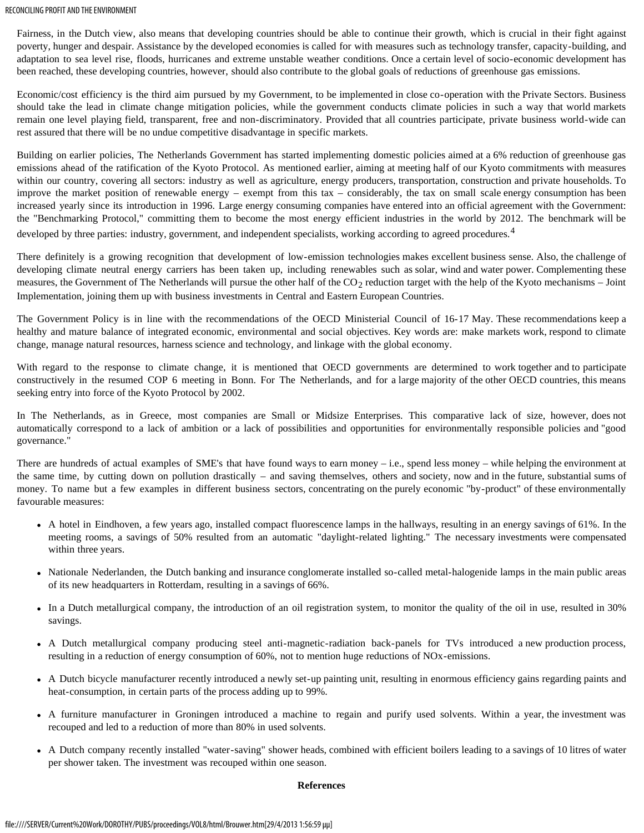Fairness, in the Dutch view, also means that developing countries should be able to continue their growth, which is crucial in their fight against poverty, hunger and despair. Assistance by the developed economies is called for with measures such as technology transfer, capacity-building, and adaptation to sea level rise, floods, hurricanes and extreme unstable weather conditions. Once a certain level of socio-economic development has been reached, these developing countries, however, should also contribute to the global goals of reductions of greenhouse gas emissions.

Economic/cost efficiency is the third aim pursued by my Government, to be implemented in close co-operation with the Private Sectors. Business should take the lead in climate change mitigation policies, while the government conducts climate policies in such a way that world markets remain one level playing field, transparent, free and non-discriminatory. Provided that all countries participate, private business world-wide can rest assured that there will be no undue competitive disadvantage in specific markets.

Building on earlier policies, The Netherlands Government has started implementing domestic policies aimed at a 6% reduction of greenhouse gas emissions ahead of the ratification of the Kyoto Protocol. As mentioned earlier, aiming at meeting half of our Kyoto commitments with measures within our country, covering all sectors: industry as well as agriculture, energy producers, transportation, construction and private households. To improve the market position of renewable energy – exempt from this tax – considerably, the tax on small scale energy consumption has been increased yearly since its introduction in 1996. Large energy consuming companies have entered into an official agreement with the Government: the "Benchmarking Protocol," committing them to become the most energy efficient industries in the world by 2012. The benchmark will be developed by three parties: industry, government, and independent specialists, working according to agreed procedures.<sup>4</sup>

There definitely is a growing recognition that development of low-emission technologies makes excellent business sense. Also, the challenge of developing climate neutral energy carriers has been taken up, including renewables such as solar, wind and water power. Complementing these measures, the Government of The Netherlands will pursue the other half of the  $CO<sub>2</sub>$  reduction target with the help of the Kyoto mechanisms – Joint Implementation, joining them up with business investments in Central and Eastern European Countries.

The Government Policy is in line with the recommendations of the OECD Ministerial Council of 16-17 May. These recommendations keep a healthy and mature balance of integrated economic, environmental and social objectives. Key words are: make markets work, respond to climate change, manage natural resources, harness science and technology, and linkage with the global economy.

With regard to the response to climate change, it is mentioned that OECD governments are determined to work together and to participate constructively in the resumed COP 6 meeting in Bonn. For The Netherlands, and for a large majority of the other OECD countries, this means seeking entry into force of the Kyoto Protocol by 2002.

In The Netherlands, as in Greece, most companies are Small or Midsize Enterprises. This comparative lack of size, however, does not automatically correspond to a lack of ambition or a lack of possibilities and opportunities for environmentally responsible policies and "good governance."

There are hundreds of actual examples of SME's that have found ways to earn money – i.e., spend less money – while helping the environment at the same time, by cutting down on pollution drastically – and saving themselves, others and society, now and in the future, substantial sums of money. To name but a few examples in different business sectors, concentrating on the purely economic "by-product" of these environmentally favourable measures:

- A hotel in Eindhoven, a few years ago, installed compact fluorescence lamps in the hallways, resulting in an energy savings of 61%. In the meeting rooms, a savings of 50% resulted from an automatic "daylight-related lighting." The necessary investments were compensated within three years.
- Nationale Nederlanden, the Dutch banking and insurance conglomerate installed so-called metal-halogenide lamps in the main public areas of its new headquarters in Rotterdam, resulting in a savings of 66%.
- In a Dutch metallurgical company, the introduction of an oil registration system, to monitor the quality of the oil in use, resulted in 30% savings.
- A Dutch metallurgical company producing steel anti-magnetic-radiation back-panels for TVs introduced a new production process, resulting in a reduction of energy consumption of 60%, not to mention huge reductions of NOx-emissions.
- A Dutch bicycle manufacturer recently introduced a newly set-up painting unit, resulting in enormous efficiency gains regarding paints and heat-consumption, in certain parts of the process adding up to 99%.
- A furniture manufacturer in Groningen introduced a machine to regain and purify used solvents. Within a year, the investment was recouped and led to a reduction of more than 80% in used solvents.
- A Dutch company recently installed "water-saving" shower heads, combined with efficient boilers leading to a savings of 10 litres of water per shower taken. The investment was recouped within one season.

## **References**